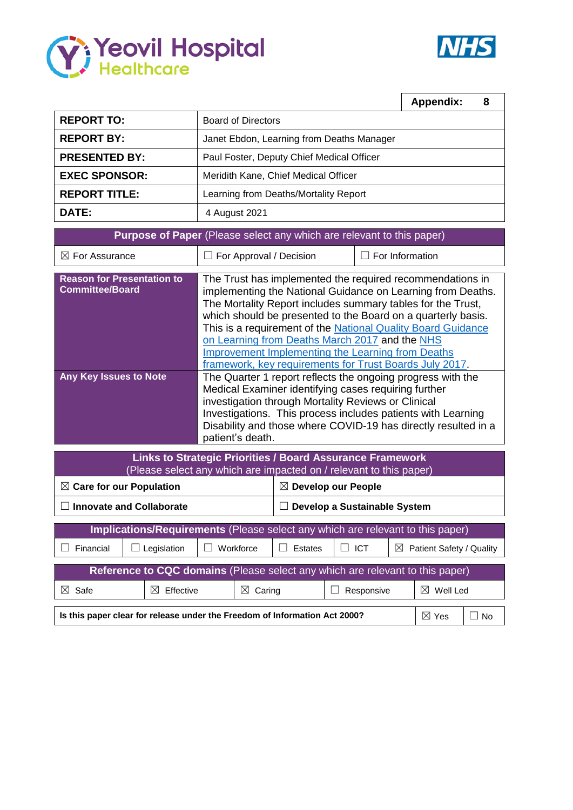



|                                                                                                                                                                                                                                                                                                                                                                                        |                                           | <b>Appendix:</b><br>8 |  |  |  |  |  |  |  |  |  |
|----------------------------------------------------------------------------------------------------------------------------------------------------------------------------------------------------------------------------------------------------------------------------------------------------------------------------------------------------------------------------------------|-------------------------------------------|-----------------------|--|--|--|--|--|--|--|--|--|
| <b>REPORT TO:</b>                                                                                                                                                                                                                                                                                                                                                                      | <b>Board of Directors</b>                 |                       |  |  |  |  |  |  |  |  |  |
| <b>REPORT BY:</b>                                                                                                                                                                                                                                                                                                                                                                      | Janet Ebdon, Learning from Deaths Manager |                       |  |  |  |  |  |  |  |  |  |
| <b>PRESENTED BY:</b>                                                                                                                                                                                                                                                                                                                                                                   | Paul Foster, Deputy Chief Medical Officer |                       |  |  |  |  |  |  |  |  |  |
| <b>EXEC SPONSOR:</b>                                                                                                                                                                                                                                                                                                                                                                   | Meridith Kane, Chief Medical Officer      |                       |  |  |  |  |  |  |  |  |  |
| <b>REPORT TITLE:</b>                                                                                                                                                                                                                                                                                                                                                                   | Learning from Deaths/Mortality Report     |                       |  |  |  |  |  |  |  |  |  |
| DATE:                                                                                                                                                                                                                                                                                                                                                                                  | 4 August 2021                             |                       |  |  |  |  |  |  |  |  |  |
| Purpose of Paper (Please select any which are relevant to this paper)                                                                                                                                                                                                                                                                                                                  |                                           |                       |  |  |  |  |  |  |  |  |  |
| $\boxtimes$ For Assurance                                                                                                                                                                                                                                                                                                                                                              | For Approval / Decision                   | For Information       |  |  |  |  |  |  |  |  |  |
| <b>Reason for Presentation to</b><br>The Trust has implemented the required recommendations in<br><b>Committee/Board</b><br>implementing the National Guidance on Learning from Deaths.<br>The Mortality Report includes summary tables for the Trust,<br>which should be presented to the Board on a quarterly basis.<br>This is a requirement of the National Quality Board Guidance |                                           |                       |  |  |  |  |  |  |  |  |  |

|                               | <b>THE REPORT OF THE FREE REPORT OF THE REPORT OF START OF THE PROPERTY OF START OF START OF START OF START OF ST</b> |
|-------------------------------|-----------------------------------------------------------------------------------------------------------------------|
|                               | on Learning from Deaths March 2017 and the NHS                                                                        |
|                               | Improvement Implementing the Learning from Deaths                                                                     |
|                               | framework, key requirements for Trust Boards July 2017.                                                               |
| <b>Any Key Issues to Note</b> | The Quarter 1 report reflects the ongoing progress with the                                                           |
|                               | Medical Examiner identifying cases requiring further                                                                  |
|                               | investigation through Mortality Reviews or Clinical                                                                   |
|                               | Investigations. This process includes patients with Learning                                                          |
|                               | Disability and those where COVID-19 has directly resulted in a                                                        |
|                               | patient's death.                                                                                                      |

| Links to Strategic Priorities / Board Assurance Framework<br>(Please select any which are impacted on / relevant to this paper) |                                 |                                 |                       |                              |                      |                          |                         |  |  |  |  |  |  |
|---------------------------------------------------------------------------------------------------------------------------------|---------------------------------|---------------------------------|-----------------------|------------------------------|----------------------|--------------------------|-------------------------|--|--|--|--|--|--|
| $\boxtimes$ Care for our Population                                                                                             |                                 | Develop our People<br>$\bowtie$ |                       |                              |                      |                          |                         |  |  |  |  |  |  |
|                                                                                                                                 | <b>Innovate and Collaborate</b> |                                 |                       | Develop a Sustainable System |                      |                          |                         |  |  |  |  |  |  |
| Implications/Requirements (Please select any which are relevant to this paper)                                                  |                                 |                                 |                       |                              |                      |                          |                         |  |  |  |  |  |  |
| Financial                                                                                                                       | Legislation                     |                                 | Workforce             | Estates                      | <b>ICT</b><br>$\Box$ | Patient Safety / Quality |                         |  |  |  |  |  |  |
| Reference to CQC domains (Please select any which are relevant to this paper)                                                   |                                 |                                 |                       |                              |                      |                          |                         |  |  |  |  |  |  |
| $\boxtimes$<br>Safe                                                                                                             | Effective<br>⋈                  |                                 | $\boxtimes$<br>Caring |                              | Responsive           |                          | $\boxtimes$<br>Well Led |  |  |  |  |  |  |
| Is this paper clear for release under the Freedom of Information Act 2000?<br>$\boxtimes$ Yes<br>No.                            |                                 |                                 |                       |                              |                      |                          |                         |  |  |  |  |  |  |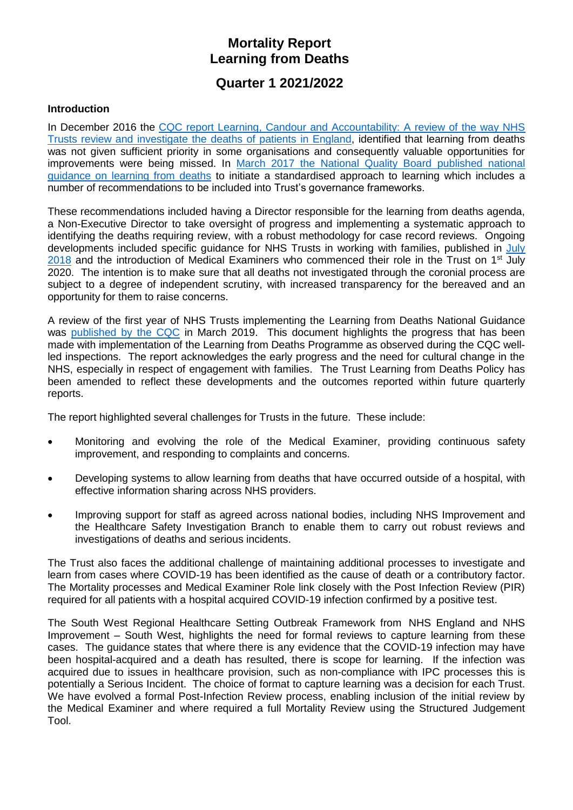# **Mortality Report Learning from Deaths**

# **Quarter 1 2021/2022**

#### **Introduction**

In December 2016 the [CQC report Learning, Candour and Accountability: A review of the way NHS](https://www.cqc.org.uk/sites/default/files/20161212-learning-candour-accountability-summary.pdf)  [Trusts review and investigate the](https://www.cqc.org.uk/sites/default/files/20161212-learning-candour-accountability-summary.pdf) deaths of patients in England, identified that learning from deaths was not given sufficient priority in some organisations and consequently valuable opportunities for improvements were being missed. In [March 2017 the National Quality Board published national](https://www.england.nhs.uk/wp-content/uploads/2017/03/nqb-national-guidance-learning-from-deaths.pdf)  [guidance on learning from deaths](https://www.england.nhs.uk/wp-content/uploads/2017/03/nqb-national-guidance-learning-from-deaths.pdf) to initiate a standardised approach to learning which includes a number of recommendations to be included into Trust's governance frameworks.

These recommendations included having a Director responsible for the learning from deaths agenda, a Non-Executive Director to take oversight of progress and implementing a systematic approach to identifying the deaths requiring review, with a robust methodology for case record reviews. Ongoing developments included specific guidance for NHS Trusts in working with families, published in [July](https://www.england.nhs.uk/wp-content/uploads/2018/08/learning-from-deaths-working-with-families-v2.pdf)  $2018$  and the introduction of Medical Examiners who commenced their role in the Trust on 1<sup>st</sup> July 2020. The intention is to make sure that all deaths not investigated through the coronial process are subject to a degree of independent scrutiny, with increased transparency for the bereaved and an opportunity for them to raise concerns.

A review of the first year of NHS Trusts implementing the Learning from Deaths National Guidance was [published by the CQC](https://www.cqc.org.uk/publications/themed-work/learning-deaths) in March 2019. This document highlights the progress that has been made with implementation of the Learning from Deaths Programme as observed during the CQC wellled inspections. The report acknowledges the early progress and the need for cultural change in the NHS, especially in respect of engagement with families. The Trust Learning from Deaths Policy has been amended to reflect these developments and the outcomes reported within future quarterly reports.

The report highlighted several challenges for Trusts in the future. These include:

- Monitoring and evolving the role of the Medical Examiner, providing continuous safety improvement, and responding to complaints and concerns.
- Developing systems to allow learning from deaths that have occurred outside of a hospital, with effective information sharing across NHS providers.
- Improving support for staff as agreed across national bodies, including NHS Improvement and the Healthcare Safety Investigation Branch to enable them to carry out robust reviews and investigations of deaths and serious incidents.

The Trust also faces the additional challenge of maintaining additional processes to investigate and learn from cases where COVID-19 has been identified as the cause of death or a contributory factor. The Mortality processes and Medical Examiner Role link closely with the Post Infection Review (PIR) required for all patients with a hospital acquired COVID-19 infection confirmed by a positive test.

The South West Regional Healthcare Setting Outbreak Framework from NHS England and NHS Improvement – South West, highlights the need for formal reviews to capture learning from these cases. The guidance states that where there is any evidence that the COVID-19 infection may have been hospital-acquired and a death has resulted, there is scope for learning. If the infection was acquired due to issues in healthcare provision, such as non-compliance with IPC processes this is potentially a Serious Incident. The choice of format to capture learning was a decision for each Trust. We have evolved a formal Post-Infection Review process, enabling inclusion of the initial review by the Medical Examiner and where required a full Mortality Review using the Structured Judgement Tool.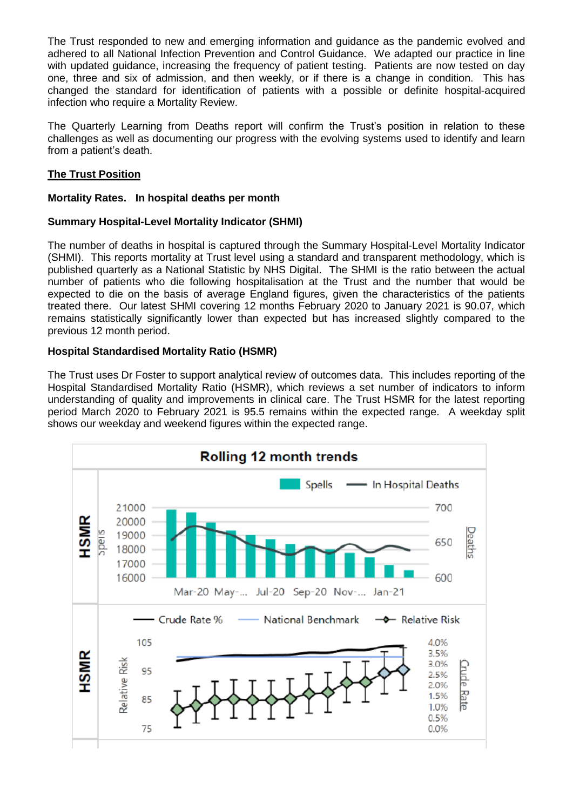The Trust responded to new and emerging information and guidance as the pandemic evolved and adhered to all National Infection Prevention and Control Guidance. We adapted our practice in line with updated guidance, increasing the frequency of patient testing. Patients are now tested on day one, three and six of admission, and then weekly, or if there is a change in condition. This has changed the standard for identification of patients with a possible or definite hospital-acquired infection who require a Mortality Review.

The Quarterly Learning from Deaths report will confirm the Trust's position in relation to these challenges as well as documenting our progress with the evolving systems used to identify and learn from a patient's death.

## **The Trust Position**

#### **Mortality Rates. In hospital deaths per month**

## **Summary Hospital-Level Mortality Indicator (SHMI)**

The number of deaths in hospital is captured through the Summary Hospital-Level Mortality Indicator (SHMI). This reports mortality at Trust level using a standard and transparent methodology, which is published quarterly as a National Statistic by NHS Digital. The SHMI is the ratio between the actual number of patients who die following hospitalisation at the Trust and the number that would be expected to die on the basis of average England figures, given the characteristics of the patients treated there. Our latest SHMI covering 12 months February 2020 to January 2021 is 90.07, which remains statistically significantly lower than expected but has increased slightly compared to the previous 12 month period.

## **Hospital Standardised Mortality Ratio (HSMR)**

The Trust uses Dr Foster to support analytical review of outcomes data. This includes reporting of the Hospital Standardised Mortality Ratio (HSMR), which reviews a set number of indicators to inform understanding of quality and improvements in clinical care. The Trust HSMR for the latest reporting period March 2020 to February 2021 is 95.5 remains within the expected range. A weekday split shows our weekday and weekend figures within the expected range.

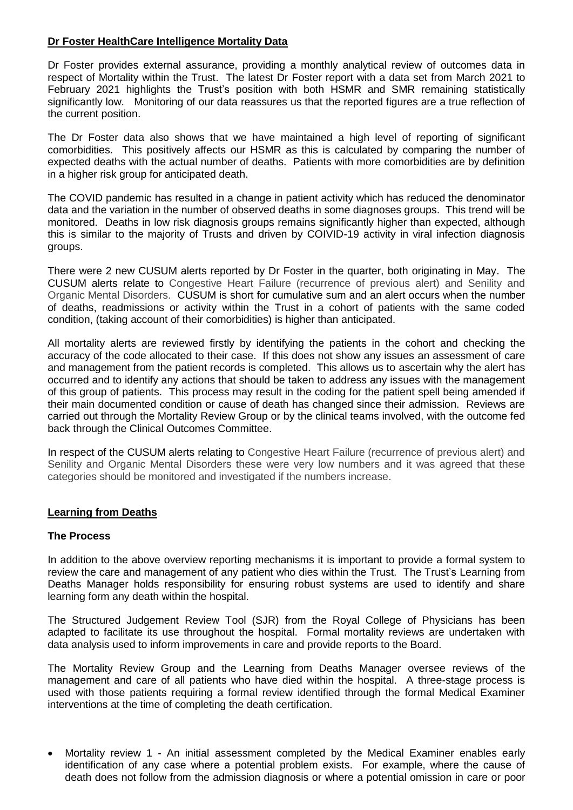#### **Dr Foster HealthCare Intelligence Mortality Data**

Dr Foster provides external assurance, providing a monthly analytical review of outcomes data in respect of Mortality within the Trust. The latest Dr Foster report with a data set from March 2021 to February 2021 highlights the Trust's position with both HSMR and SMR remaining statistically significantly low. Monitoring of our data reassures us that the reported figures are a true reflection of the current position.

The Dr Foster data also shows that we have maintained a high level of reporting of significant comorbidities. This positively affects our HSMR as this is calculated by comparing the number of expected deaths with the actual number of deaths. Patients with more comorbidities are by definition in a higher risk group for anticipated death.

The COVID pandemic has resulted in a change in patient activity which has reduced the denominator data and the variation in the number of observed deaths in some diagnoses groups. This trend will be monitored. Deaths in low risk diagnosis groups remains significantly higher than expected, although this is similar to the majority of Trusts and driven by COIVID-19 activity in viral infection diagnosis groups.

There were 2 new CUSUM alerts reported by Dr Foster in the quarter, both originating in May. The CUSUM alerts relate to Congestive Heart Failure (recurrence of previous alert) and Senility and Organic Mental Disorders. CUSUM is short for cumulative sum and an alert occurs when the number of deaths, readmissions or activity within the Trust in a cohort of patients with the same coded condition, (taking account of their comorbidities) is higher than anticipated.

All mortality alerts are reviewed firstly by identifying the patients in the cohort and checking the accuracy of the code allocated to their case. If this does not show any issues an assessment of care and management from the patient records is completed. This allows us to ascertain why the alert has occurred and to identify any actions that should be taken to address any issues with the management of this group of patients. This process may result in the coding for the patient spell being amended if their main documented condition or cause of death has changed since their admission. Reviews are carried out through the Mortality Review Group or by the clinical teams involved, with the outcome fed back through the Clinical Outcomes Committee.

In respect of the CUSUM alerts relating to Congestive Heart Failure (recurrence of previous alert) and Senility and Organic Mental Disorders these were very low numbers and it was agreed that these categories should be monitored and investigated if the numbers increase.

#### **Learning from Deaths**

#### **The Process**

In addition to the above overview reporting mechanisms it is important to provide a formal system to review the care and management of any patient who dies within the Trust. The Trust's Learning from Deaths Manager holds responsibility for ensuring robust systems are used to identify and share learning form any death within the hospital.

The Structured Judgement Review Tool (SJR) from the Royal College of Physicians has been adapted to facilitate its use throughout the hospital. Formal mortality reviews are undertaken with data analysis used to inform improvements in care and provide reports to the Board.

The Mortality Review Group and the Learning from Deaths Manager oversee reviews of the management and care of all patients who have died within the hospital. A three-stage process is used with those patients requiring a formal review identified through the formal Medical Examiner interventions at the time of completing the death certification.

 Mortality review 1 - An initial assessment completed by the Medical Examiner enables early identification of any case where a potential problem exists. For example, where the cause of death does not follow from the admission diagnosis or where a potential omission in care or poor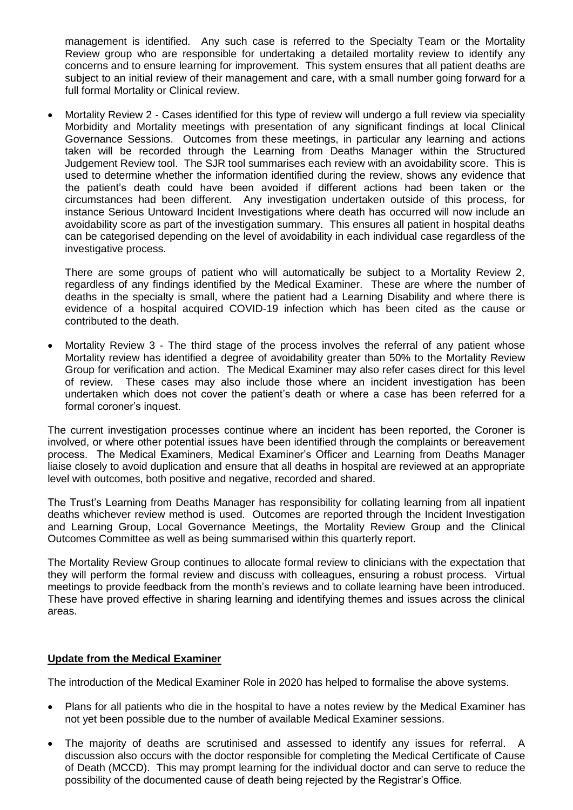management is identified. Any such case is referred to the Specialty Team or the Mortality Review group who are responsible for undertaking a detailed mortality review to identify any concerns and to ensure learning for improvement. This system ensures that all patient deaths are subject to an initial review of their management and care, with a small number going forward for a full formal Mortality or Clinical review.

 Mortality Review 2 - Cases identified for this type of review will undergo a full review via speciality Morbidity and Mortality meetings with presentation of any significant findings at local Clinical Governance Sessions. Outcomes from these meetings, in particular any learning and actions taken will be recorded through the Learning from Deaths Manager within the Structured Judgement Review tool. The SJR tool summarises each review with an avoidability score. This is used to determine whether the information identified during the review, shows any evidence that the patient's death could have been avoided if different actions had been taken or the circumstances had been different. Any investigation undertaken outside of this process, for instance Serious Untoward Incident Investigations where death has occurred will now include an avoidability score as part of the investigation summary. This ensures all patient in hospital deaths can be categorised depending on the level of avoidability in each individual case regardless of the investigative process.

There are some groups of patient who will automatically be subject to a Mortality Review 2, regardless of any findings identified by the Medical Examiner. These are where the number of deaths in the specialty is small, where the patient had a Learning Disability and where there is evidence of a hospital acquired COVID-19 infection which has been cited as the cause or contributed to the death.

 Mortality Review 3 - The third stage of the process involves the referral of any patient whose Mortality review has identified a degree of avoidability greater than 50% to the Mortality Review Group for verification and action. The Medical Examiner may also refer cases direct for this level of review. These cases may also include those where an incident investigation has been undertaken which does not cover the patient's death or where a case has been referred for a formal coroner's inquest.

The current investigation processes continue where an incident has been reported, the Coroner is involved, or where other potential issues have been identified through the complaints or bereavement process. The Medical Examiners, Medical Examiner's Officer and Learning from Deaths Manager liaise closely to avoid duplication and ensure that all deaths in hospital are reviewed at an appropriate level with outcomes, both positive and negative, recorded and shared.

The Trust's Learning from Deaths Manager has responsibility for collating learning from all inpatient deaths whichever review method is used. Outcomes are reported through the Incident Investigation and Learning Group, Local Governance Meetings, the Mortality Review Group and the Clinical Outcomes Committee as well as being summarised within this quarterly report.

The Mortality Review Group continues to allocate formal review to clinicians with the expectation that they will perform the formal review and discuss with colleagues, ensuring a robust process. Virtual meetings to provide feedback from the month's reviews and to collate learning have been introduced. These have proved effective in sharing learning and identifying themes and issues across the clinical areas.

#### **Update from the Medical Examiner**

The introduction of the Medical Examiner Role in 2020 has helped to formalise the above systems.

- Plans for all patients who die in the hospital to have a notes review by the Medical Examiner has not yet been possible due to the number of available Medical Examiner sessions.
- The majority of deaths are scrutinised and assessed to identify any issues for referral. A discussion also occurs with the doctor responsible for completing the Medical Certificate of Cause of Death (MCCD). This may prompt learning for the individual doctor and can serve to reduce the possibility of the documented cause of death being rejected by the Registrar's Office.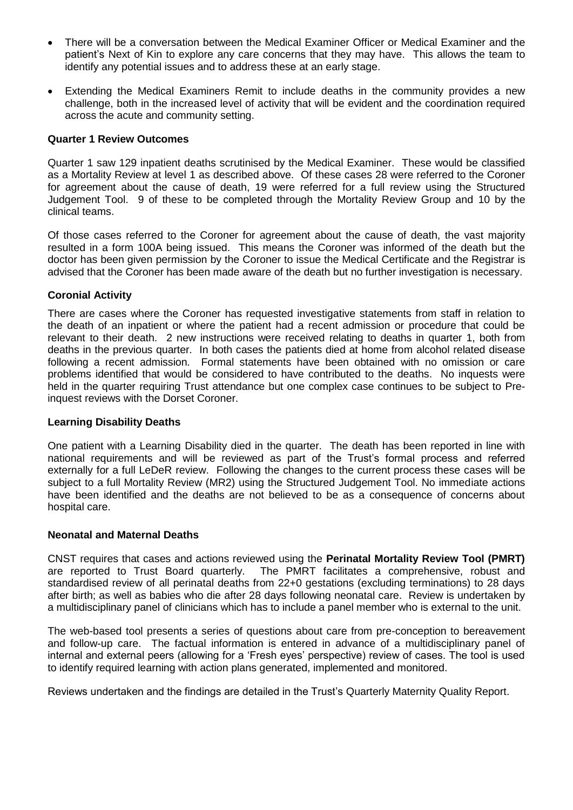- There will be a conversation between the Medical Examiner Officer or Medical Examiner and the patient's Next of Kin to explore any care concerns that they may have. This allows the team to identify any potential issues and to address these at an early stage.
- Extending the Medical Examiners Remit to include deaths in the community provides a new challenge, both in the increased level of activity that will be evident and the coordination required across the acute and community setting.

#### **Quarter 1 Review Outcomes**

Quarter 1 saw 129 inpatient deaths scrutinised by the Medical Examiner. These would be classified as a Mortality Review at level 1 as described above. Of these cases 28 were referred to the Coroner for agreement about the cause of death, 19 were referred for a full review using the Structured Judgement Tool. 9 of these to be completed through the Mortality Review Group and 10 by the clinical teams.

Of those cases referred to the Coroner for agreement about the cause of death, the vast majority resulted in a form 100A being issued. This means the Coroner was informed of the death but the doctor has been given permission by the Coroner to issue the Medical Certificate and the Registrar is advised that the Coroner has been made aware of the death but no further investigation is necessary.

#### **Coronial Activity**

There are cases where the Coroner has requested investigative statements from staff in relation to the death of an inpatient or where the patient had a recent admission or procedure that could be relevant to their death. 2 new instructions were received relating to deaths in quarter 1, both from deaths in the previous quarter. In both cases the patients died at home from alcohol related disease following a recent admission. Formal statements have been obtained with no omission or care problems identified that would be considered to have contributed to the deaths. No inquests were held in the quarter requiring Trust attendance but one complex case continues to be subject to Preinquest reviews with the Dorset Coroner.

#### **Learning Disability Deaths**

One patient with a Learning Disability died in the quarter. The death has been reported in line with national requirements and will be reviewed as part of the Trust's formal process and referred externally for a full LeDeR review. Following the changes to the current process these cases will be subject to a full Mortality Review (MR2) using the Structured Judgement Tool. No immediate actions have been identified and the deaths are not believed to be as a consequence of concerns about hospital care.

#### **Neonatal and Maternal Deaths**

CNST requires that cases and actions reviewed using the **Perinatal Mortality Review Tool (PMRT)** are reported to Trust Board quarterly. The PMRT facilitates a comprehensive, robust and standardised review of all perinatal deaths from 22+0 gestations (excluding terminations) to 28 days after birth; as well as babies who die after 28 days following neonatal care. Review is undertaken by a multidisciplinary panel of clinicians which has to include a panel member who is external to the unit.

The web-based tool presents a series of questions about care from pre-conception to bereavement and follow-up care. The factual information is entered in advance of a multidisciplinary panel of internal and external peers (allowing for a 'Fresh eyes' perspective) review of cases. The tool is used to identify required learning with action plans generated, implemented and monitored.

Reviews undertaken and the findings are detailed in the Trust's Quarterly Maternity Quality Report.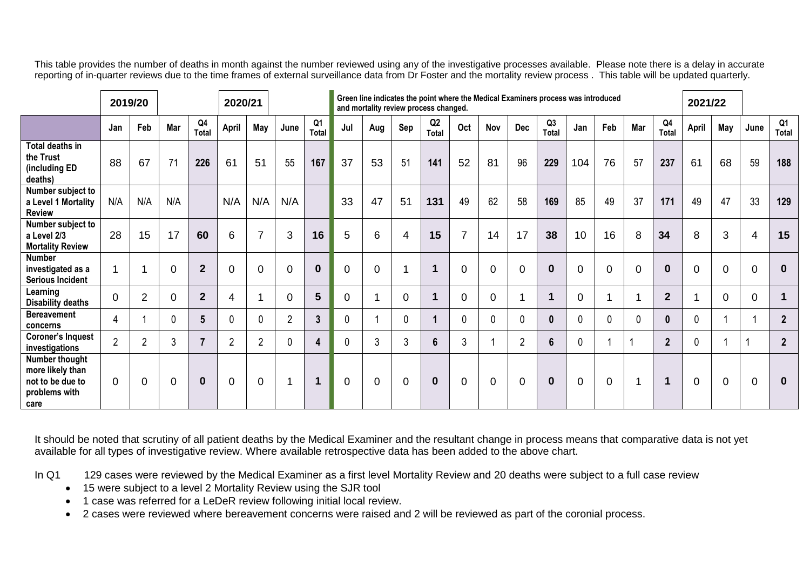This table provides the number of deaths in month against the number reviewed using any of the investigative processes available. Please note there is a delay in accurate reporting of in-quarter reviews due to the time frames of external surveillance data from Dr Foster and the mortality review process . This table will be updated quarterly.

|                                                                                 | 2019/20        |                |                |                         |                | 2020/21        |                |                    | Green line indicates the point where the Medical Examiners process was introduced<br>and mortality review process changed. |                |                |                                |                |             |                |                |                |                |             | 2021/22         |          |             |                |                |
|---------------------------------------------------------------------------------|----------------|----------------|----------------|-------------------------|----------------|----------------|----------------|--------------------|----------------------------------------------------------------------------------------------------------------------------|----------------|----------------|--------------------------------|----------------|-------------|----------------|----------------|----------------|----------------|-------------|-----------------|----------|-------------|----------------|----------------|
|                                                                                 | Jan            | Feb            | Mar            | Q <sub>4</sub><br>Total | April          | May            | June           | Q1<br><b>Total</b> | Jul                                                                                                                        | Aug            | Sep            | Q <sub>2</sub><br><b>Total</b> | Oct            | Nov         | Dec            | Q3<br>Total    | Jan            | Feb            | Mar         | Q4<br>Total     | April    | May         | June           | Q1<br>Total    |
| Total deaths in<br>the Trust<br>(including ED<br>deaths)                        | 88             | 67             | 71             | 226                     | 61             | 51             | 55             | 167                | 37                                                                                                                         | 53             | 51             | 141                            | 52             | 81          | 96             | 229            | 104            | 76             | 57          | 237             | 61       | 68          | 59             | 188            |
| Number subject to<br>a Level 1 Mortality<br><b>Review</b>                       | N/A            | N/A            | N/A            |                         | N/A            | N/A            | N/A            |                    | 33                                                                                                                         | 47             | 51             | 131                            | 49             | 62          | 58             | 169            | 85             | 49             | 37          | 171             | 49       | 47          | 33             | 129            |
| Number subject to<br>a Level 2/3<br><b>Mortality Review</b>                     | 28             | 15             | 17             | 60                      | 6              | $\overline{7}$ | 3              | 16                 | 5                                                                                                                          | 6              | 4              | 15                             | $\overline{7}$ | 14          | 17             | 38             | 10             | 16             | 8           | 34              | 8        | 3           | 4              | 15             |
| <b>Number</b><br>investigated as a<br><b>Serious Incident</b>                   | 1              |                | $\mathbf 0$    | $\overline{2}$          | $\mathbf 0$    | $\Omega$       | $\mathbf 0$    | $\mathbf 0$        | $\overline{0}$                                                                                                             | $\overline{0}$ |                | 4                              | $\overline{0}$ | 0           | $\mathbf 0$    | $\bf{0}$       | $\overline{0}$ | $\mathbf 0$    | $\Omega$    | $\mathbf 0$     | $\Omega$ | $\mathbf 0$ | $\overline{0}$ | $\mathbf{0}$   |
| Learning<br><b>Disability deaths</b>                                            | $\overline{0}$ | 2              | $\Omega$       | $\overline{2}$          | 4              | 1              | 0              | 5                  | 0                                                                                                                          | 1              | $\Omega$       | и                              | 0              | 0           |                |                | 0              |                |             | $\overline{2}$  |          | $\Omega$    | $\Omega$       | 1              |
| <b>Bereavement</b><br>concerns                                                  | $\overline{4}$ |                | $\mathbf{0}$   | 5                       | $\mathbf{0}$   | $\mathbf{0}$   | $\overline{2}$ | $\mathbf{3}$       | $\mathbf 0$                                                                                                                | 1              | $\mathbf 0$    |                                | $\mathbf{0}$   | $\mathbf 0$ | 0              | $\bf{0}$       | $\mathbf{0}$   | $\mathbf{0}$   | $\mathbf 0$ | $\mathbf 0$     | 0        |             |                | 2 <sup>2</sup> |
| <b>Coroner's Inquest</b><br>investigations                                      | $\overline{2}$ | $\overline{2}$ | $\mathfrak{Z}$ | $\overline{7}$          | $\overline{2}$ | $\overline{2}$ | 0              | 4                  | 0                                                                                                                          | 3              | 3              | 6                              | 3              |             | $\overline{2}$ | $6\phantom{1}$ | 0              |                |             | $2\overline{ }$ | 0        |             |                | $\overline{2}$ |
| Number thought<br>more likely than<br>not to be due to<br>problems with<br>care | $\Omega$       | 0              | $\mathbf 0$    | $\bf{0}$                | $\mathbf 0$    | $\mathbf 0$    |                | 1                  | $\overline{0}$                                                                                                             | $\mathbf 0$    | $\overline{0}$ | $\bf{0}$                       | $\mathbf 0$    | $\mathbf 0$ | $\mathbf 0$    | $\bf{0}$       | $\overline{0}$ | $\overline{0}$ |             | $\mathbf 1$     | $\Omega$ | $\mathbf 0$ | $\overline{0}$ | $\bf{0}$       |

It should be noted that scrutiny of all patient deaths by the Medical Examiner and the resultant change in process means that comparative data is not yet available for all types of investigative review. Where available retrospective data has been added to the above chart.

In Q1 129 cases were reviewed by the Medical Examiner as a first level Mortality Review and 20 deaths were subject to a full case review

- 15 were subject to a level 2 Mortality Review using the SJR tool
- 1 case was referred for a LeDeR review following initial local review.
- 2 cases were reviewed where bereavement concerns were raised and 2 will be reviewed as part of the coronial process.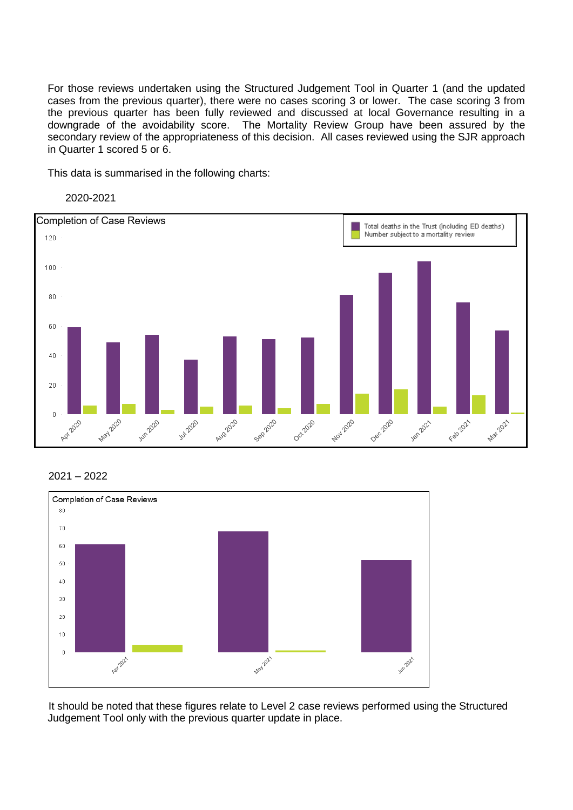For those reviews undertaken using the Structured Judgement Tool in Quarter 1 (and the updated cases from the previous quarter), there were no cases scoring 3 or lower. The case scoring 3 from the previous quarter has been fully reviewed and discussed at local Governance resulting in a downgrade of the avoidability score. The Mortality Review Group have been assured by the secondary review of the appropriateness of this decision. All cases reviewed using the SJR approach in Quarter 1 scored 5 or 6.

This data is summarised in the following charts:





#### 2021 – 2022



It should be noted that these figures relate to Level 2 case reviews performed using the Structured Judgement Tool only with the previous quarter update in place.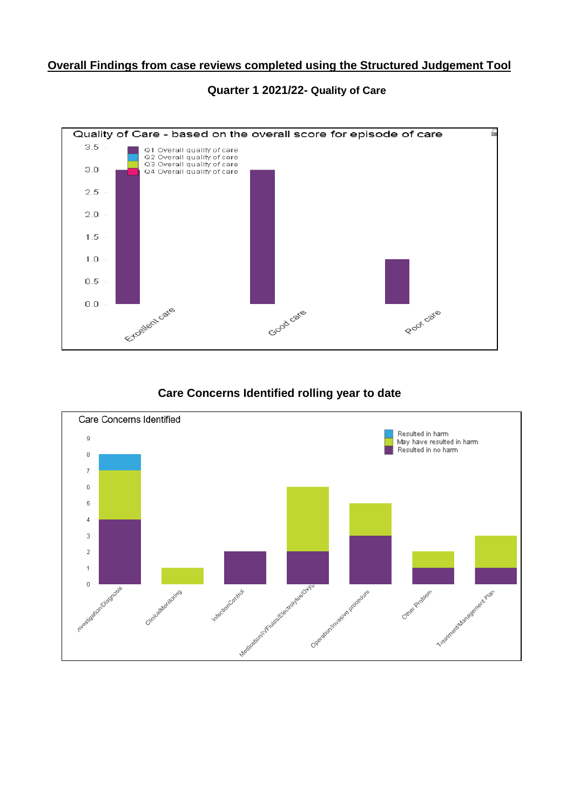## **Overall Findings from case reviews completed using the Structured Judgement Tool**



## **Quarter 1 2021/22- Quality of Care**

## **Care Concerns Identified rolling year to date**

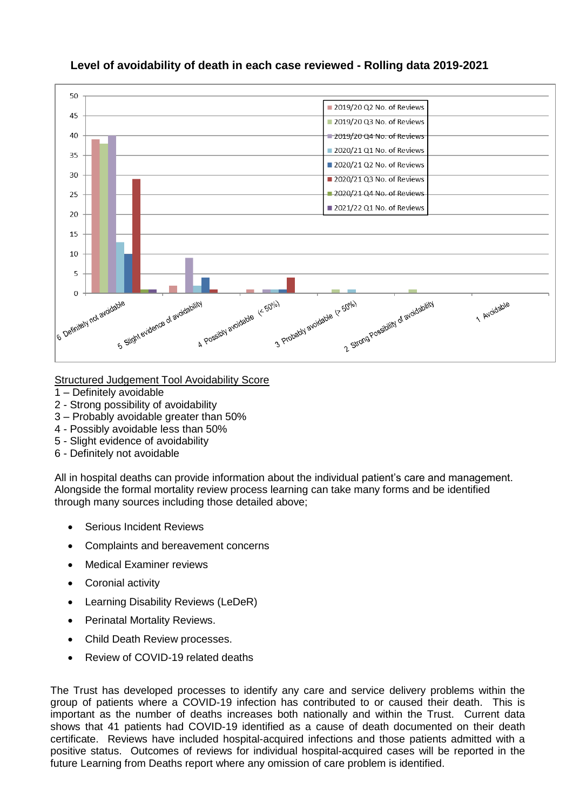

## **Level of avoidability of death in each case reviewed - Rolling data 2019-2021**

#### Structured Judgement Tool Avoidability Score

- 1 Definitely avoidable
- 2 Strong possibility of avoidability
- 3 Probably avoidable greater than 50%
- 4 Possibly avoidable less than 50%
- 5 Slight evidence of avoidability
- 6 Definitely not avoidable

All in hospital deaths can provide information about the individual patient's care and management. Alongside the formal mortality review process learning can take many forms and be identified through many sources including those detailed above;

- Serious Incident Reviews
- Complaints and bereavement concerns
- Medical Examiner reviews
- Coronial activity
- Learning Disability Reviews (LeDeR)
- Perinatal Mortality Reviews.
- Child Death Review processes.
- Review of COVID-19 related deaths

The Trust has developed processes to identify any care and service delivery problems within the group of patients where a COVID-19 infection has contributed to or caused their death. This is important as the number of deaths increases both nationally and within the Trust. Current data shows that 41 patients had COVID-19 identified as a cause of death documented on their death certificate. Reviews have included hospital-acquired infections and those patients admitted with a positive status. Outcomes of reviews for individual hospital-acquired cases will be reported in the future Learning from Deaths report where any omission of care problem is identified.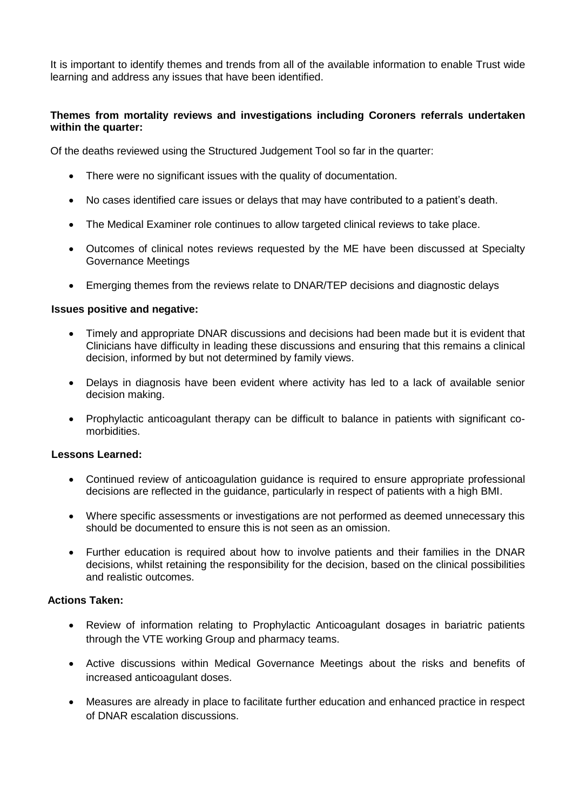It is important to identify themes and trends from all of the available information to enable Trust wide learning and address any issues that have been identified.

## **Themes from mortality reviews and investigations including Coroners referrals undertaken within the quarter:**

Of the deaths reviewed using the Structured Judgement Tool so far in the quarter:

- There were no significant issues with the quality of documentation.
- No cases identified care issues or delays that may have contributed to a patient's death.
- The Medical Examiner role continues to allow targeted clinical reviews to take place.
- Outcomes of clinical notes reviews requested by the ME have been discussed at Specialty Governance Meetings
- Emerging themes from the reviews relate to DNAR/TEP decisions and diagnostic delays

#### **Issues positive and negative:**

- Timely and appropriate DNAR discussions and decisions had been made but it is evident that Clinicians have difficulty in leading these discussions and ensuring that this remains a clinical decision, informed by but not determined by family views.
- Delays in diagnosis have been evident where activity has led to a lack of available senior decision making.
- Prophylactic anticoagulant therapy can be difficult to balance in patients with significant comorbidities.

#### **Lessons Learned:**

- Continued review of anticoagulation guidance is required to ensure appropriate professional decisions are reflected in the guidance, particularly in respect of patients with a high BMI.
- Where specific assessments or investigations are not performed as deemed unnecessary this should be documented to ensure this is not seen as an omission.
- Further education is required about how to involve patients and their families in the DNAR decisions, whilst retaining the responsibility for the decision, based on the clinical possibilities and realistic outcomes.

## **Actions Taken:**

- Review of information relating to Prophylactic Anticoagulant dosages in bariatric patients through the VTE working Group and pharmacy teams.
- Active discussions within Medical Governance Meetings about the risks and benefits of increased anticoagulant doses.
- Measures are already in place to facilitate further education and enhanced practice in respect of DNAR escalation discussions.